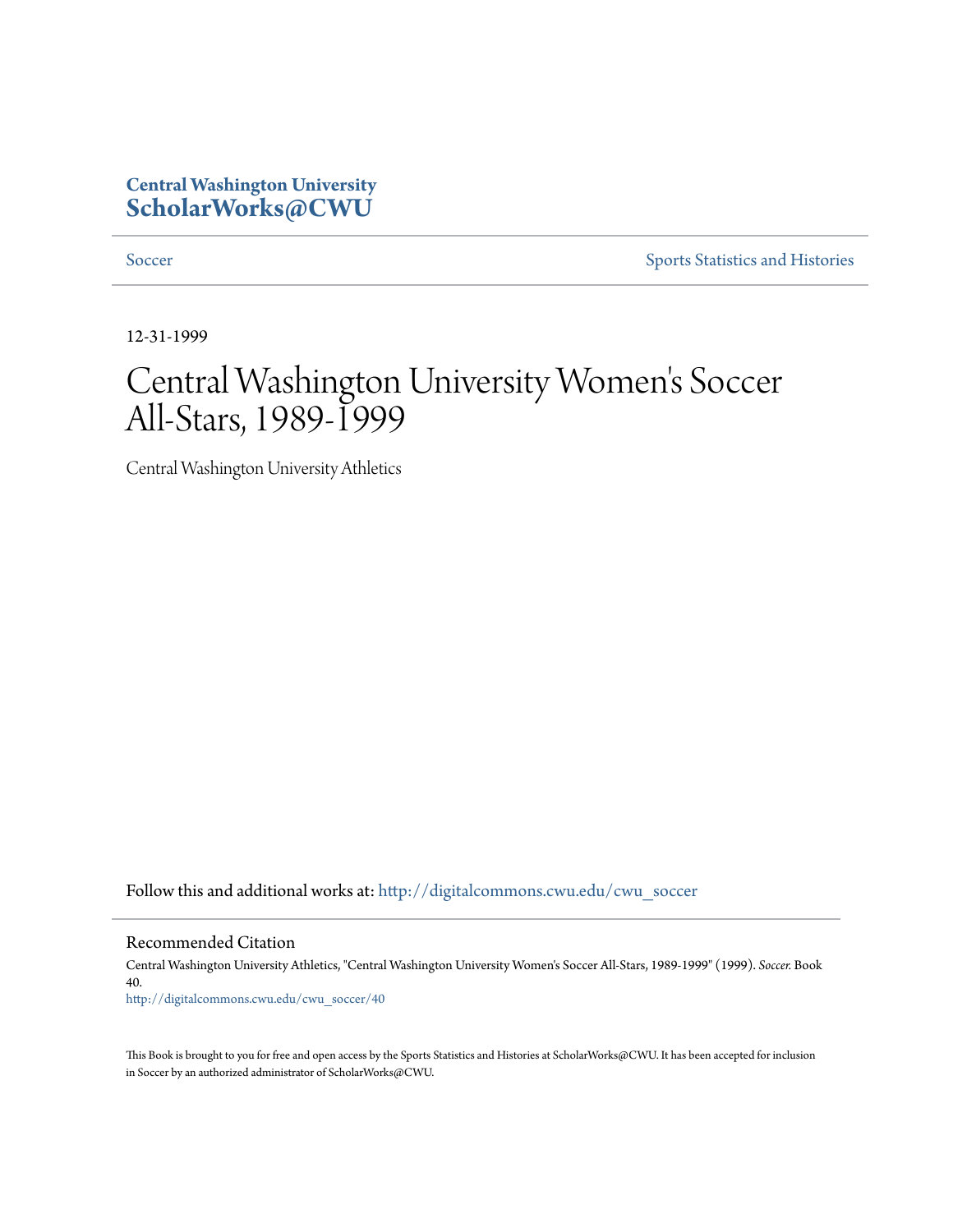# **Central Washington University [ScholarWorks@CWU](http://digitalcommons.cwu.edu?utm_source=digitalcommons.cwu.edu%2Fcwu_soccer%2F40&utm_medium=PDF&utm_campaign=PDFCoverPages)**

[Soccer](http://digitalcommons.cwu.edu/cwu_soccer?utm_source=digitalcommons.cwu.edu%2Fcwu_soccer%2F40&utm_medium=PDF&utm_campaign=PDFCoverPages) [Sports Statistics and Histories](http://digitalcommons.cwu.edu/cwu_sports_statistics?utm_source=digitalcommons.cwu.edu%2Fcwu_soccer%2F40&utm_medium=PDF&utm_campaign=PDFCoverPages)

12-31-1999

# Central Washington University Women 's Soccer All-Stars, 1989-1999

Central Washington University Athletics

Follow this and additional works at: [http://digitalcommons.cwu.edu/cwu\\_soccer](http://digitalcommons.cwu.edu/cwu_soccer?utm_source=digitalcommons.cwu.edu%2Fcwu_soccer%2F40&utm_medium=PDF&utm_campaign=PDFCoverPages)

Recommended Citation

Central Washington University Athletics, "Central Washington University Women's Soccer All-Stars, 1989-1999" (1999). *Soccer.* Book 40. [http://digitalcommons.cwu.edu/cwu\\_soccer/40](http://digitalcommons.cwu.edu/cwu_soccer/40?utm_source=digitalcommons.cwu.edu%2Fcwu_soccer%2F40&utm_medium=PDF&utm_campaign=PDFCoverPages)

This Book is brought to you for free and open access by the Sports Statistics and Histories at ScholarWorks@CWU. It has been accepted for inclusion in Soccer by an authorized administrator of ScholarWorks@CWU.